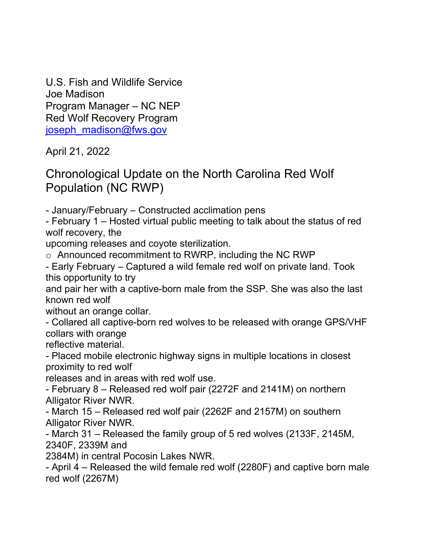U.S. Fish and Wildlife Service Joe Madison Program Manager – NC NEP Red Wolf Recovery Program joseph\_madison@fws.gov

April 21, 2022

## Chronological Update on the North Carolina Red Wolf Population (NC RWP)

- January/February – Constructed acclimation pens

- February 1 – Hosted virtual public meeting to talk about the status of red wolf recovery, the

upcoming releases and coyote sterilization.

o Announced recommitment to RWRP, including the NC RWP

- Early February – Captured a wild female red wolf on private land. Took this opportunity to try

and pair her with a captive-born male from the SSP. She was also the last known red wolf

without an orange collar.

- Collared all captive-born red wolves to be released with orange GPS/VHF collars with orange

reflective material.

- Placed mobile electronic highway signs in multiple locations in closest proximity to red wolf

releases and in areas with red wolf use.

- February 8 – Released red wolf pair (2272F and 2141M) on northern Alligator River NWR.

- March 15 – Released red wolf pair (2262F and 2157M) on southern Alligator River NWR.

- March 31 – Released the family group of 5 red wolves (2133F, 2145M, 2340F, 2339M and

2384M) in central Pocosin Lakes NWR.

- April 4 – Released the wild female red wolf (2280F) and captive born male red wolf (2267M)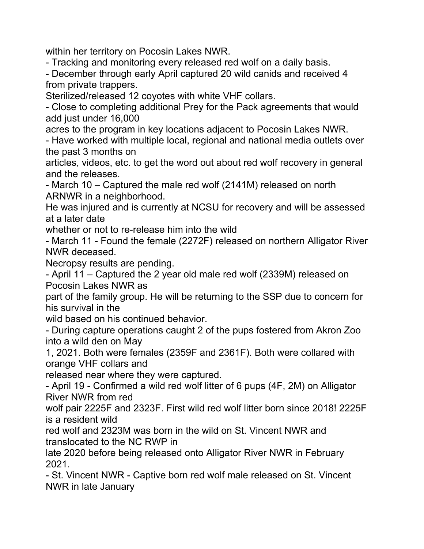within her territory on Pocosin Lakes NWR.

- Tracking and monitoring every released red wolf on a daily basis.

- December through early April captured 20 wild canids and received 4 from private trappers.

Sterilized/released 12 coyotes with white VHF collars.

- Close to completing additional Prey for the Pack agreements that would add just under 16,000

acres to the program in key locations adjacent to Pocosin Lakes NWR.

- Have worked with multiple local, regional and national media outlets over the past 3 months on

articles, videos, etc. to get the word out about red wolf recovery in general and the releases.

- March 10 – Captured the male red wolf (2141M) released on north ARNWR in a neighborhood.

He was injured and is currently at NCSU for recovery and will be assessed at a later date

whether or not to re-release him into the wild

- March 11 - Found the female (2272F) released on northern Alligator River NWR deceased.

Necropsy results are pending.

- April 11 – Captured the 2 year old male red wolf (2339M) released on Pocosin Lakes NWR as

part of the family group. He will be returning to the SSP due to concern for his survival in the

wild based on his continued behavior.

- During capture operations caught 2 of the pups fostered from Akron Zoo into a wild den on May

1, 2021. Both were females (2359F and 2361F). Both were collared with orange VHF collars and

released near where they were captured.

- April 19 - Confirmed a wild red wolf litter of 6 pups (4F, 2M) on Alligator River NWR from red

wolf pair 2225F and 2323F. First wild red wolf litter born since 2018! 2225F is a resident wild

red wolf and 2323M was born in the wild on St. Vincent NWR and translocated to the NC RWP in

late 2020 before being released onto Alligator River NWR in February 2021.

- St. Vincent NWR - Captive born red wolf male released on St. Vincent NWR in late January